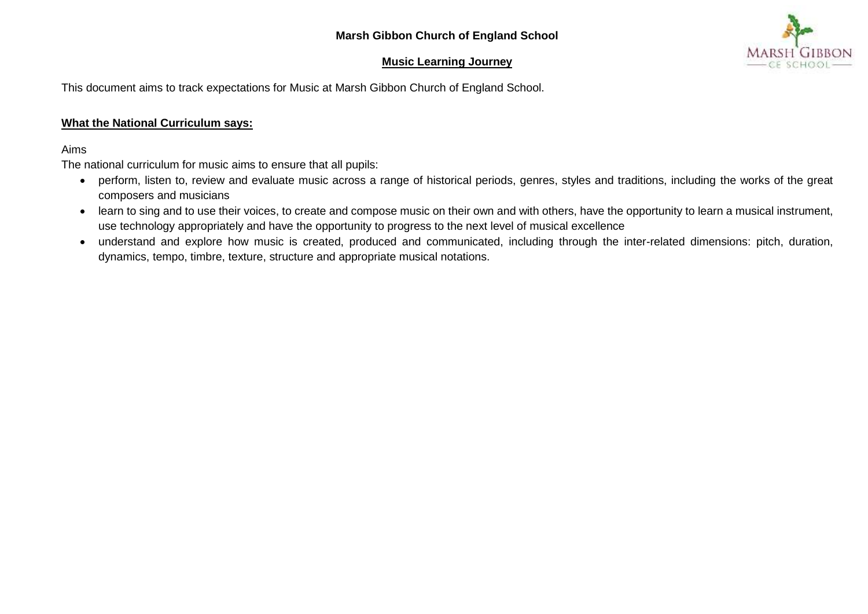## **Marsh Gibbon Church of England School**

## **Music Learning Journey**



This document aims to track expectations for Music at Marsh Gibbon Church of England School.

## **What the National Curriculum says:**

## Aims

The national curriculum for music aims to ensure that all pupils:

- perform, listen to, review and evaluate music across a range of historical periods, genres, styles and traditions, including the works of the great composers and musicians
- learn to sing and to use their voices, to create and compose music on their own and with others, have the opportunity to learn a musical instrument, use technology appropriately and have the opportunity to progress to the next level of musical excellence
- understand and explore how music is created, produced and communicated, including through the inter-related dimensions: pitch, duration, dynamics, tempo, timbre, texture, structure and appropriate musical notations.